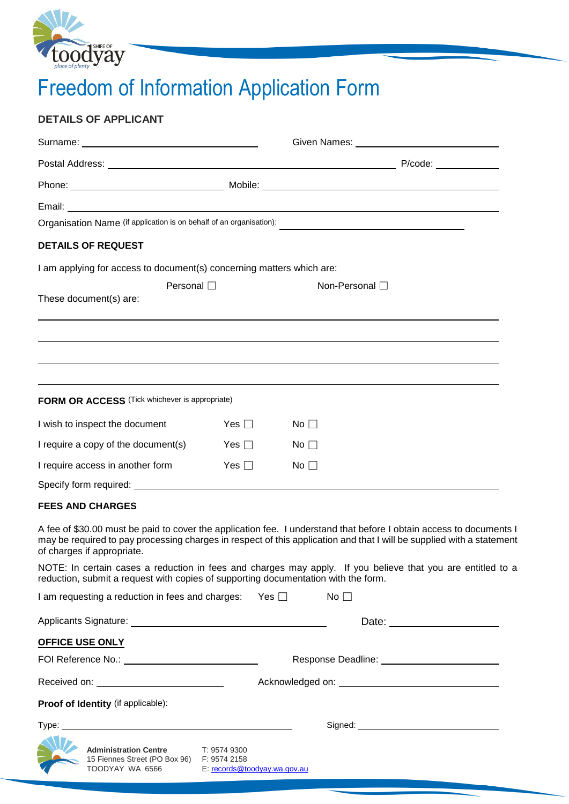

# Freedom of Information Application Form

# **DETAILS OF APPLICANT**

|                                                                                                                                                                                                                                                                            |              | Given Names: The Contract of the Contract of the Contract of the Contract of the Contract of the Contract of the Contract of the Contract of the Contract of the Contract of the Contract of the Contract of the Contract of t |                |  |
|----------------------------------------------------------------------------------------------------------------------------------------------------------------------------------------------------------------------------------------------------------------------------|--------------|--------------------------------------------------------------------------------------------------------------------------------------------------------------------------------------------------------------------------------|----------------|--|
|                                                                                                                                                                                                                                                                            |              |                                                                                                                                                                                                                                |                |  |
|                                                                                                                                                                                                                                                                            |              |                                                                                                                                                                                                                                |                |  |
|                                                                                                                                                                                                                                                                            |              |                                                                                                                                                                                                                                |                |  |
|                                                                                                                                                                                                                                                                            |              |                                                                                                                                                                                                                                |                |  |
| <b>DETAILS OF REQUEST</b>                                                                                                                                                                                                                                                  |              |                                                                                                                                                                                                                                |                |  |
| I am applying for access to document(s) concerning matters which are:                                                                                                                                                                                                      |              |                                                                                                                                                                                                                                |                |  |
| Personal $\square$<br>These document(s) are:                                                                                                                                                                                                                               |              |                                                                                                                                                                                                                                | Non-Personal □ |  |
|                                                                                                                                                                                                                                                                            |              |                                                                                                                                                                                                                                |                |  |
| FORM OR ACCESS (Tick whichever is appropriate)                                                                                                                                                                                                                             |              |                                                                                                                                                                                                                                |                |  |
| I wish to inspect the document                                                                                                                                                                                                                                             | Yes $\Box$   | No $\square$                                                                                                                                                                                                                   |                |  |
| I require a copy of the document(s)                                                                                                                                                                                                                                        | Yes $\Box$   | No $\square$                                                                                                                                                                                                                   |                |  |
| I require access in another form                                                                                                                                                                                                                                           | Yes $\Box$   | $No$ $\Box$                                                                                                                                                                                                                    |                |  |
|                                                                                                                                                                                                                                                                            |              |                                                                                                                                                                                                                                |                |  |
| <b>FEES AND CHARGES</b>                                                                                                                                                                                                                                                    |              |                                                                                                                                                                                                                                |                |  |
| A fee of \$30.00 must be paid to cover the application fee. I understand that before I obtain access to documents I<br>may be required to pay processing charges in respect of this application and that I will be supplied with a statement<br>of charges if appropriate. |              |                                                                                                                                                                                                                                |                |  |
| NOTE: In certain cases a reduction in fees and charges may apply. If you believe that you are entitled to a<br>reduction, submit a request with copies of supporting documentation with the form.                                                                          |              |                                                                                                                                                                                                                                |                |  |
| I am requesting a reduction in fees and charges: Yes $\Box$                                                                                                                                                                                                                |              |                                                                                                                                                                                                                                | $No \square$   |  |
|                                                                                                                                                                                                                                                                            |              |                                                                                                                                                                                                                                |                |  |
| <b>OFFICE USE ONLY</b>                                                                                                                                                                                                                                                     |              |                                                                                                                                                                                                                                |                |  |
|                                                                                                                                                                                                                                                                            |              |                                                                                                                                                                                                                                |                |  |
| Received on: ____________________________                                                                                                                                                                                                                                  |              |                                                                                                                                                                                                                                |                |  |
| Proof of Identity (if applicable):                                                                                                                                                                                                                                         |              |                                                                                                                                                                                                                                |                |  |
|                                                                                                                                                                                                                                                                            |              |                                                                                                                                                                                                                                |                |  |
| <b>Administration Centre</b><br>15 Fiennes Street (PO Box 96) F: 9574 2158<br>TOODYAY WA 6566 E: records@toodyay.wa.gov.au                                                                                                                                                 | T: 9574 9300 |                                                                                                                                                                                                                                |                |  |